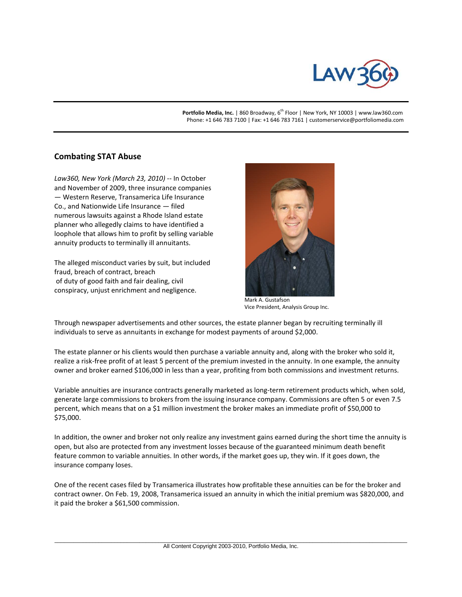

Portfolio Media, Inc. | 860 Broadway, 6<sup>th</sup> Floor | New York, NY 10003 | www.law360.com Phone: +1 646 783 7100 | Fax: +1 646 783 7161 | customerservice@portfoliomedia.com

## **Combating STAT Abuse**

*Law360, New York (March 23, 2010)* -- In October and November of 2009, three insurance companies — Western Reserve, Transamerica Life Insurance Co., and Nationwide Life Insurance — filed numerous lawsuits against a Rhode Island estate planner who allegedly claims to have identified a loophole that allows him to profit by selling variable annuity products to terminally ill annuitants.

The alleged misconduct varies by suit, but included fraud, breach of contract, breach of duty of good faith and fair dealing, civil conspiracy, unjust enrichment and negligence.



Mark A. Gustafson Vice President, Analysis Group Inc.

Through newspaper advertisements and other sources, the estate planner began by recruiting terminally ill individuals to serve as annuitants in exchange for modest payments of around \$2,000.

The estate planner or his clients would then purchase a variable annuity and, along with the broker who sold it, realize a risk-free profit of at least 5 percent of the premium invested in the annuity. In one example, the annuity owner and broker earned \$106,000 in less than a year, profiting from both commissions and investment returns.

Variable annuities are insurance contracts generally marketed as long-term retirement products which, when sold, generate large commissions to brokers from the issuing insurance company. Commissions are often 5 or even 7.5 percent, which means that on a \$1 million investment the broker makes an immediate profit of \$50,000 to \$75,000.

In addition, the owner and broker not only realize any investment gains earned during the short time the annuity is open, but also are protected from any investment losses because of the guaranteed minimum death benefit feature common to variable annuities. In other words, if the market goes up, they win. If it goes down, the insurance company loses.

One of the recent cases filed by Transamerica illustrates how profitable these annuities can be for the broker and contract owner. On Feb. 19, 2008, Transamerica issued an annuity in which the initial premium was \$820,000, and it paid the broker a \$61,500 commission.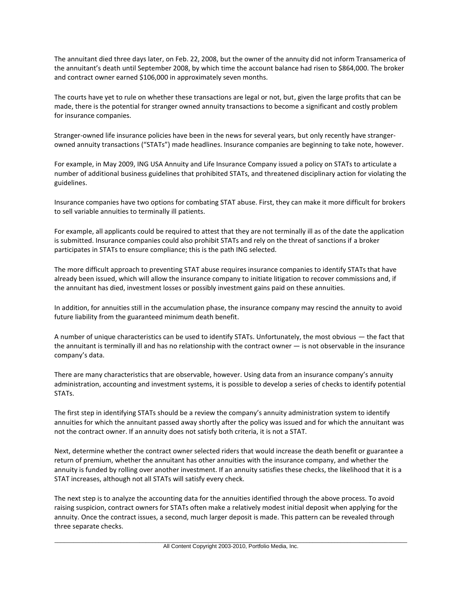The annuitant died three days later, on Feb. 22, 2008, but the owner of the annuity did not inform Transamerica of the annuitant's death until September 2008, by which time the account balance had risen to \$864,000. The broker and contract owner earned \$106,000 in approximately seven months.

The courts have yet to rule on whether these transactions are legal or not, but, given the large profits that can be made, there is the potential for stranger owned annuity transactions to become a significant and costly problem for insurance companies.

Stranger-owned life insurance policies have been in the news for several years, but only recently have strangerowned annuity transactions ("STATs") made headlines. Insurance companies are beginning to take note, however.

For example, in May 2009, ING USA Annuity and Life Insurance Company issued a policy on STATs to articulate a number of additional business guidelines that prohibited STATs, and threatened disciplinary action for violating the guidelines.

Insurance companies have two options for combating STAT abuse. First, they can make it more difficult for brokers to sell variable annuities to terminally ill patients.

For example, all applicants could be required to attest that they are not terminally ill as of the date the application is submitted. Insurance companies could also prohibit STATs and rely on the threat of sanctions if a broker participates in STATs to ensure compliance; this is the path ING selected.

The more difficult approach to preventing STAT abuse requires insurance companies to identify STATs that have already been issued, which will allow the insurance company to initiate litigation to recover commissions and, if the annuitant has died, investment losses or possibly investment gains paid on these annuities.

In addition, for annuities still in the accumulation phase, the insurance company may rescind the annuity to avoid future liability from the guaranteed minimum death benefit.

A number of unique characteristics can be used to identify STATs. Unfortunately, the most obvious — the fact that the annuitant is terminally ill and has no relationship with the contract owner — is not observable in the insurance company's data.

There are many characteristics that are observable, however. Using data from an insurance company's annuity administration, accounting and investment systems, it is possible to develop a series of checks to identify potential STATs.

The first step in identifying STATs should be a review the company's annuity administration system to identify annuities for which the annuitant passed away shortly after the policy was issued and for which the annuitant was not the contract owner. If an annuity does not satisfy both criteria, it is not a STAT.

Next, determine whether the contract owner selected riders that would increase the death benefit or guarantee a return of premium, whether the annuitant has other annuities with the insurance company, and whether the annuity is funded by rolling over another investment. If an annuity satisfies these checks, the likelihood that it is a STAT increases, although not all STATs will satisfy every check.

The next step is to analyze the accounting data for the annuities identified through the above process. To avoid raising suspicion, contract owners for STATs often make a relatively modest initial deposit when applying for the annuity. Once the contract issues, a second, much larger deposit is made. This pattern can be revealed through three separate checks.